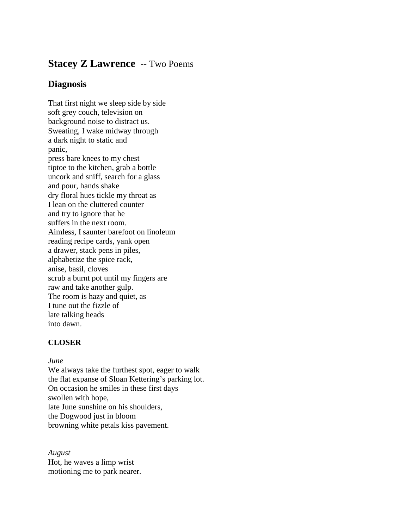# **Stacey Z Lawrence** -- Two Poems

## **Diagnosis**

That first night we sleep side by side soft grey couch, television on background noise to distract us. Sweating, I wake midway through a dark night to static and panic, press bare knees to my chest tiptoe to the kitchen, grab a bottle uncork and sniff, search for a glass and pour, hands shake dry floral hues tickle my throat as I lean on the cluttered counter and try to ignore that he suffers in the next room. Aimless, I saunter barefoot on linoleum reading recipe cards, yank open a drawer, stack pens in piles, alphabetize the spice rack, anise, basil, cloves scrub a burnt pot until my fingers are raw and take another gulp. The room is hazy and quiet, as I tune out the fizzle of late talking heads into dawn.

## **CLOSER**

### *June*

We always take the furthest spot, eager to walk the flat expanse of Sloan Kettering's parking lot. On occasion he smiles in these first days swollen with hope, late June sunshine on his shoulders, the Dogwood just in bloom browning white petals kiss pavement.

*August* Hot, he waves a limp wrist motioning me to park nearer.